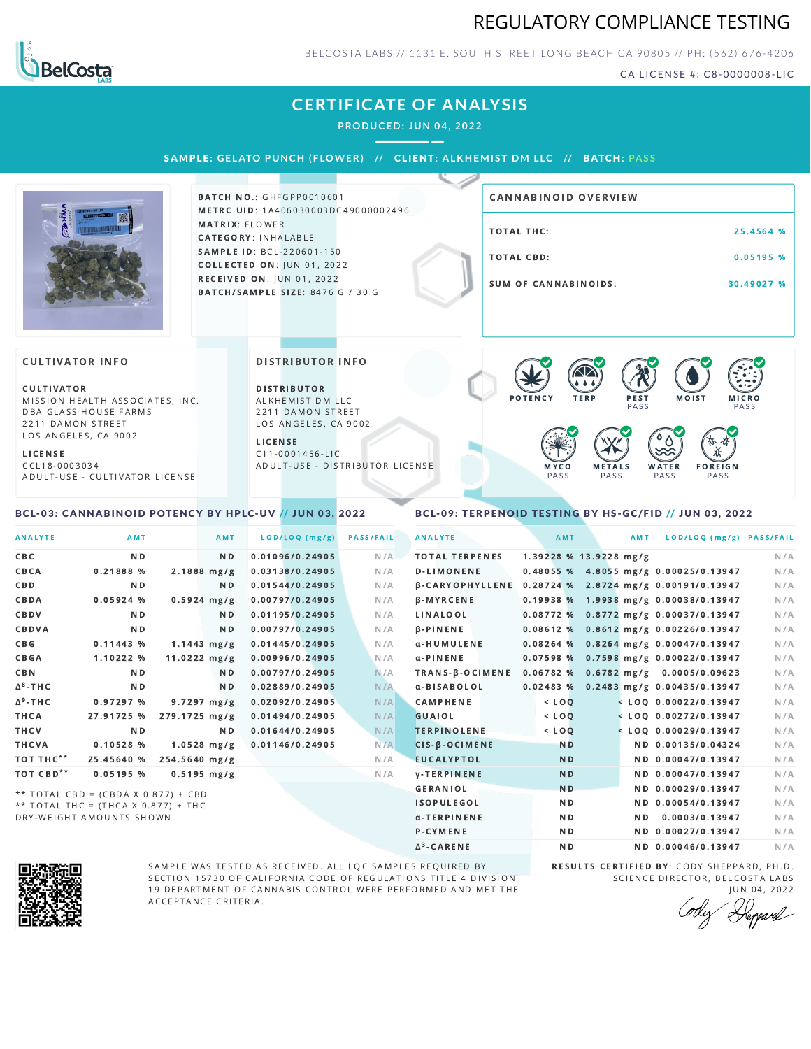## REGULATORY COMPLIANCE TESTING



BELCOSTA LABS // 1131 E. SOUTH STREET LONG BEACH C A 90805 // PH: (562) 676-4206

CA LICENSE #: C8-0000008-LIC

## **CERTIFICATE OF ANALYSIS**

**PRODUCED: JUN 04, 2022**

SAMPLE: GELATO PUNCH (FLOWER) // CLIENT: ALKHEMIST DM LLC // BATCH: PASS



**BATCH NO.: GHFGPP0010601** METRC UID: 1A406030003DC49000002496 MATRIX: FLOWER CATEGORY: INHALABLE SAMPLE ID: BCL-220601-150 **COLLECTED ON: JUN 01, 2022 RECEIVED ON: JUN 01, 2022** BATCH/SAMPLE SIZE: 8476 G / 30 G

# TOTAL THC: 25.4564 % TOTAL CBD: 0.05195 % SUM OF CANNABINOIDS: 30.49027 % CANNABINOID OVERVIEW

### CULTIVATOR INFO

**CULTIVATOR** MISSION HEALTH ASSOCIATES, INC. DBA GLASS HOUSE FARMS 2211 DAMON STREET LOS ANGELES, CA 9002

L I C E N S E

C C L 1 8 - 0 0 0 3 0 3 4 A D U L T - U S E - C U L T I V A T O R L I CENSE

<span id="page-0-0"></span>BCL-03: CANNABINOID POTENCY BY HPLC-UV // JUN 03, 2022

#### DISTRIBUTOR INFO

D I STRIBUTOR ALKHEMIST DM LLC 2211 DAMON STREET LOS ANGELES, CA 9002

L I C E N S E C 1 1 - 0 0 0 1 4 5 6 - L I C A D U L T - U S E - D I STRIBUTOR LICENSE



### <span id="page-0-1"></span>BCL-09: TERPENOID TESTING BY HS-GC/FID // JUN 03, 2022

| <b>ANALYTE</b>        | AMT            | AMT                     | LOD/LOQ (mg/g)  | <b>PASS/FAIL</b> | <b>ANALYTE</b>                                        | AMT            | AMT                    | LOD/LOQ (mg/g) PASS/FAIL                |     |
|-----------------------|----------------|-------------------------|-----------------|------------------|-------------------------------------------------------|----------------|------------------------|-----------------------------------------|-----|
| CBC                   | N <sub>D</sub> | N <sub>D</sub>          | 0.01096/0.24905 | N/A              | <b>TOTAL TERPENES</b>                                 |                | 1.39228 % 13.9228 mg/g |                                         | N/A |
| <b>CBCA</b>           | 0.21888%       | $2.1888$ mg/g           | 0.03138/0.24905 | N/A              | <b>D-LIMONENE</b>                                     |                |                        | 0.48055 % 4.8055 mg/g 0.00025/0.13947   | N/A |
| CBD                   | N <sub>D</sub> | N <sub>D</sub>          | 0.01544/0.24905 | N/A              | β-CARYOPHYLLENE 0.28724 % 2.8724 mg/g 0.00191/0.13947 |                |                        |                                         | N/A |
| CBDA                  | 0.05924%       | $0.5924$ mg/g           | 0.00797/0.24905 | N/A              | $\beta$ -MYRCENE                                      |                |                        | 0.19938 % 1.9938 mg/g 0.00038/0.13947   | N/A |
| <b>CBDV</b>           | ND.            | ND.                     | 0.01195/0.24905 | N/A              | LINALOOL                                              |                |                        | 0.08772 % 0.8772 mg/g 0.00037/0.13947   | N/A |
| CBDVA                 | N <sub>D</sub> | N <sub>D</sub>          | 0.00797/0.24905 | N/A              | $\beta$ -PINENE                                       |                |                        | $0.08612$ % 0.8612 mg/g 0.00226/0.13947 | N/A |
| $C$ $B$ $G$           | 0.11443%       | $1.1443$ mg/g           | 0.01445/0.24905 | N/A              | α-HUMULENE                                            |                |                        | $0.08264$ % 0.8264 mg/g 0.00047/0.13947 | N/A |
| <b>CBGA</b>           | 1.10222 %      | $11.0222 \, mg/g$       | 0.00996/0.24905 | N/A              | $\alpha$ -PINENE                                      |                |                        | 0.07598 % 0.7598 mg/g 0.00022/0.13947   | N/A |
| <b>CBN</b>            | ND.            | ND.                     | 0.00797/0.24905 | N/A              | TRANS-B-OCIMENE                                       |                |                        | 0.06782 % 0.6782 mg/g 0.0005/0.09623    | N/A |
| $\Delta^8$ -THC       | N <sub>D</sub> | N <sub>D</sub>          | 0.02889/0.24905 | N/A              | α-BISABOLOL                                           |                |                        | 0.02483 % 0.2483 mg/g 0.00435/0.13947   | N/A |
| $\Delta^9$ -THC       | 0.97297%       | $9.7297 \text{ mg/g}$   | 0.02092/0.24905 | N/A              | <b>CAMPHENE</b>                                       | $<$ LOO        |                        | $<$ LOO 0.00022/0.13947                 | N/A |
| THCA                  | 27.91725 %     | $279.1725 \text{ mg/g}$ | 0.01494/0.24905 | N/A              | GUAIOL                                                | $<$ LOQ        |                        | $<$ LOQ 0.00272/0.13947                 | N/A |
| THCV                  | N <sub>D</sub> | ND.                     | 0.01644/0.24905 | N/A              | <b>TERPINOLENE</b>                                    | $<$ LOQ        |                        | $<$ LOQ 0.00029/0.13947                 | N/A |
| THCVA                 | 0.10528%       | $1.0528$ mg/g           | 0.01146/0.24905 | N/A              | $CIS-B-OCIMENE$                                       | <b>ND</b>      |                        | ND 0.00135/0.04324                      | N/A |
| TOT THC <sup>**</sup> | 25.45640 %     | 254.5640 mg/g           |                 | N/A              | <b>EUCALYPTOL</b>                                     | N <sub>D</sub> |                        | ND 0.00047/0.13947                      | N/A |
| TOT CBD <sup>**</sup> | 0.05195%       | $0.5195$ mg/g           |                 | N/A              | <b>V-TERPINENE</b>                                    | N <sub>D</sub> |                        | ND 0.00047/0.13947                      | N/A |
|                       |                |                         |                 |                  | <b>GERANIOL</b>                                       | N <sub>D</sub> |                        | ND 0.00029/0.13947                      | N/A |

\*\* TOTAL CBD =  $(CBDA X 0.877) + CBD$  $**$  TOTAL THC = (THCA X 0.877) + THC DRY-WEIGHT AMOUNTS SHOWN



ISOPULEGOL ND ND 0.00054/0.13947 N/A



SAMPLE WAS TESTED AS RECEIVED. ALL LQC SAMPLES REQUIRED BY SECTION 15730 OF CALIFORNIA CODE OF REGULATIONS TITLE 4 DIVISION 19 DEPARTMENT OF CANNABIS CONTROL WERE PERFORMED AND MET THE A C C E P T A N C E C R I T E R I A.

Δ 3

SCIENCE DIRECTOR, BELCOSTA LABS **JUN 04, 2022** 

Deppard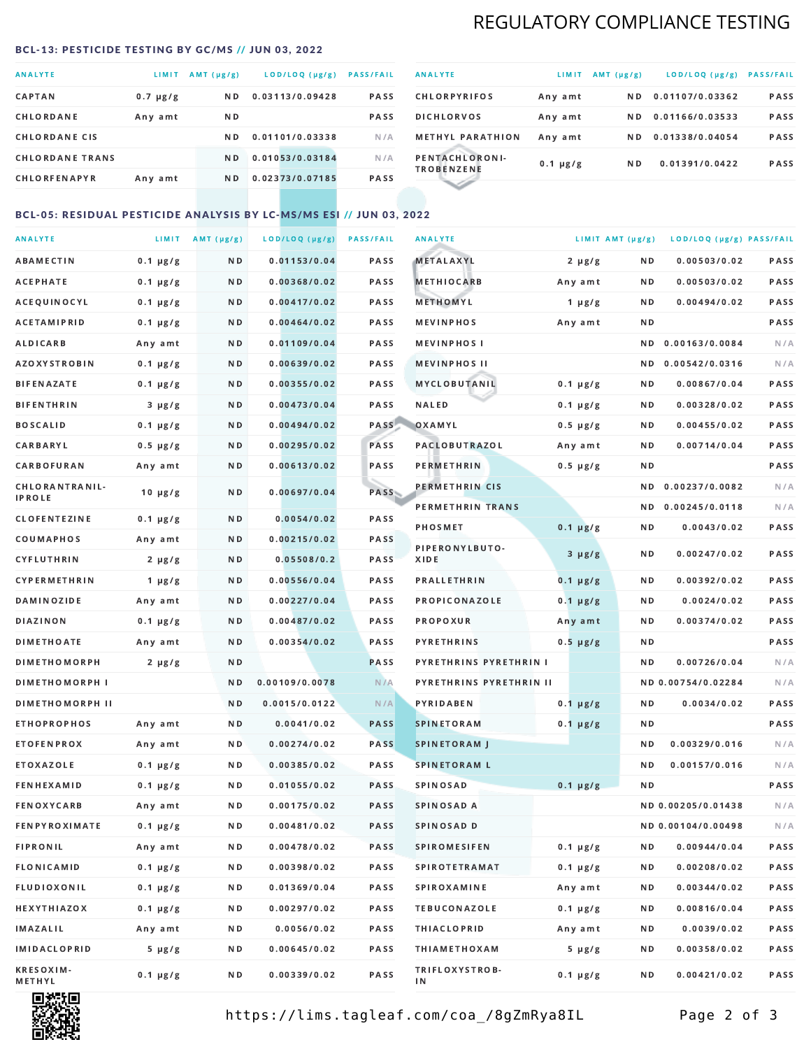## REGULATORY COMPLIANCE TESTING

#### <span id="page-1-0"></span>BCL-13: PESTICIDE TESTING BY GC/MS // JUN 03, 2022

| <b>ANALYTE</b>         | LIMIT.        | $AMT(\mu g/g)$ | LOD/LOQ (µg/g)  | <b>PASS/FAIL</b> |
|------------------------|---------------|----------------|-----------------|------------------|
| <b>CAPTAN</b>          | $0.7 \mu g/g$ | N <sub>D</sub> | 0.03113/0.09428 | <b>PASS</b>      |
| CHLORDANE              | Any amt       | N D            |                 | <b>PASS</b>      |
| <b>CHLORDANE CIS</b>   |               | N D            | 0.01101/0.03338 | N/A              |
| <b>CHLORDANE TRANS</b> |               | N <sub>D</sub> | 0.01053/0.03184 | N/A              |
| <b>CHLORFENAPYR</b>    | Any amt       | N D            | 0.02373/0.07185 | <b>PASS</b>      |

| <b>ANALYTE</b>                      | LIMIT         | $AMT(\mu g/g)$ | LOD/LOQ (µg/g)  | <b>PASS/FAIL</b> |
|-------------------------------------|---------------|----------------|-----------------|------------------|
| <b>CHLORPYRIFOS</b>                 | Any amt       | N D            | 0.01107/0.03362 | <b>PASS</b>      |
| <b>DICHLORVOS</b>                   | Any amt       | N D.           | 0.01166/0.03533 | PASS             |
| <b>METHYL PARATHION</b>             | Any amt       | ND.            | 0.01338/0.04054 | <b>PASS</b>      |
| PENTACHLORONI-<br><b>TROBENZENE</b> | $0.1 \mu g/g$ | ND.            | 0.01391/0.0422  | <b>PASS</b>      |
|                                     |               |                |                 |                  |

## BCL-05: RESIDUAL PESTICIDE ANALYSIS BY LC-MS/MS ESI // JUN 03, 2022

| <b>ANALYTE</b>             |               | LIMIT $AMT (\mu g/g)$ | LOD/LOQ (µg/g) | <b>PASS/FAIL</b> | <b>ANALYTE</b>          | LIMIT AMT $(\mu g/g)$ |     | LOD/LOQ (µg/g) PASS/FAIL |      |
|----------------------------|---------------|-----------------------|----------------|------------------|-------------------------|-----------------------|-----|--------------------------|------|
| ABAMECTIN                  | $0.1 \mu g/g$ | N D                   | 0.01153/0.04   | PASS             | <b>METALAXYL</b>        | $2 \mu g/g$           | N D | 0.00503/0.02             | PASS |
| АСЕРНАТЕ                   | $0.1 \mu g/g$ | N D                   | 0.00368/0.02   | <b>PASS</b>      | <b>METHIOCARB</b>       | Any amt               | N D | 0.00503/0.02             | PASS |
| ACEQUINOCYL                | $0.1 \mu g/g$ | N D                   | 0.00417/0.02   | PASS             | METHOMYL                | 1 $\mu$ g/g           | N D | 0.00494/0.02             | PASS |
| <b>ACETAMIPRID</b>         | $0.1 \mu g/g$ | N D                   | 0.00464/0.02   | PASS             | <b>MEVINPHOS</b>        | Any amt               | ND. |                          | PASS |
| ALDICARB                   | Any amt       | N D                   | 0.01109/0.04   | <b>PASS</b>      | <b>MEVINPHOS I</b>      |                       | ND. | 0.00163/0.0084           | N/A  |
| <b>AZOXYSTROBIN</b>        | $0.1 \mu g/g$ | N D                   | 0.00639/0.02   | <b>PASS</b>      | <b>MEVINPHOS II</b>     |                       | N D | 0.00542/0.0316           | N/A  |
| BIFENAZATE                 | $0.1 \mu g/g$ | N D                   | 0.00355/0.02   | PASS             | MYCLOBUTANIL            | $0.1 \mu g/g$         | N D | 0.00867/0.04             | PASS |
| <b>BIFENTHRIN</b>          | $3 \mu g/g$   | N D                   | 0.00473/0.04   | PASS             | <b>NALED</b>            | $0.1 \mu g/g$         | N D | 0.00328/0.02             | PASS |
| <b>BOSCALID</b>            | $0.1 \mu g/g$ | N D                   | 0.00494/0.02   | PASS             | OXAMYL                  | $0.5 \mu g/g$         | ND  | 0.00455/0.02             | PASS |
| <b>CARBARYL</b>            | $0.5 \mu g/g$ | N D                   | 0.00295/0.02   | PASS             | <b>PACLOBUTRAZOL</b>    | Any amt               | N D | 0.00714/0.04             | PASS |
| CARBOFURAN                 | Any amt       | N D                   | 0.00613/0.02   | PASS             | PERMETHRIN              | $0.5 \mu g/g$         | N D |                          | PASS |
| CHLORANTRANIL-             | $10 \mu g/g$  | N D                   | 0.00697/0.04   | PASS             | PERMETHRIN CIS          |                       | ND. | 0.00237/0.0082           | N/A  |
| <b>IPROLE</b>              |               |                       |                |                  | PERMETHRIN TRANS        |                       |     | ND 0.00245/0.0118        | N/A  |
| <b>CLOFENTEZINE</b>        | $0.1 \mu g/g$ | N D                   | 0.0054/0.02    | PASS             | <b>PHOSMET</b>          | $0.1 \mu g/g$         | N D | 0.0043/0.02              | PASS |
| COUMAPHOS                  | Any amt       | N D                   | 0.00215/0.02   | <b>PASS</b>      | PIPERONYLBUTO-          | $3 \mu g/g$           | N D | 0.00247/0.02             | PASS |
| CYFLUTHRIN                 | $2 \mu g/g$   | N D                   | 0.05508/0.2    | <b>PASS</b>      | XIDE                    |                       |     |                          |      |
| <b>CYPERMETHRIN</b>        | $1 \mu g/g$   | N D                   | 0.00556/0.04   | PASS             | <b>PRALLETHRIN</b>      | $0.1 \mu g/g$         | N D | 0.00392/0.02             | PASS |
| <b>DAMINOZIDE</b>          | Any amt       | N D                   | 0.00227/0.04   | PASS             | PROPICONAZOLE           | $0.1 \mu g/g$         | N D | 0.0024/0.02              | PASS |
| <b>DIAZINON</b>            | $0.1 \mu g/g$ | N D                   | 0.00487/0.02   | <b>PASS</b>      | <b>PROPOXUR</b>         | Any amt               | N D | 0.00374/0.02             | PASS |
| <b>DIMETHOATE</b>          | Any amt       | N D                   | 0.00354/0.02   | <b>PASS</b>      | <b>PYRETHRINS</b>       | $0.5 \mu g/g$         | N D |                          | PASS |
| <b>DIMETHOMORPH</b>        | $2 \mu g/g$   | N D                   |                | <b>PASS</b>      | PYRETHRINS PYRETHRIN I  |                       | N D | 0.00726/0.04             | N/A  |
| <b>DIMETHOMORPH I</b>      |               | N D                   | 0.00109/0.0078 | N/A              | PYRETHRINS PYRETHRIN II |                       |     | ND 0.00754/0.02284       | N/A  |
| <b>DIMETHOMORPH II</b>     |               | ND.                   | 0.0015/0.0122  | N/A              | PYRIDABEN               | $0.1 \mu g/g$         | N D | 0.0034/0.02              | PASS |
| <b>ETHOPROPHOS</b>         | Any amt       | N D                   | 0.0041/0.02    | <b>PASS</b>      | <b>SPINETORAM</b>       | $0.1 \mu g/g$         | N D |                          | PASS |
| <b>ETOFENPROX</b>          | Any amt       | N D                   | 0.00274/0.02   | <b>PASS</b>      | <b>SPINETORAM J</b>     |                       | N D | 0.00329/0.016            | N/A  |
| ETOXAZOLE                  | $0.1 \mu g/g$ | N D                   | 0.00385/0.02   | PASS             | <b>SPINETORAM L</b>     |                       | ND. | 0.00157/0.016            | N/A  |
| <b>FENHEXAMID</b>          | $0.1 \mu g/g$ | N D                   | 0.01055/0.02   | <b>PASS</b>      | <b>SPINOSAD</b>         | $0.1 \mu g/g$         | N D |                          | PASS |
| FENOXYCARB                 | Any amt       | N D                   | 0.00175/0.02   | <b>PASS</b>      | SPINOSAD A              |                       |     | ND 0.00205/0.01438       | N/A  |
| <b>FENPYROXIMATE</b>       | $0.1 \mu g/g$ | N D                   | 0.00481/0.02   | PASS             | SPINOSAD D              |                       |     | ND 0.00104/0.00498       | N/A  |
| <b>FIPRONIL</b>            | Any amt       | N D                   | 0.00478/0.02   | PASS             | <b>SPIROMESIFEN</b>     | $0.1 \mu g/g$         | ND. | 0.00944/0.04             | PASS |
| FLONICAMID                 | $0.1 \mu g/g$ | N D                   | 0.00398/0.02   | PASS             | <b>SPIROTETRAMAT</b>    | $0.1 \mu g/g$         | N D | 0.00208/0.02             | PASS |
| FLUDIOXONIL                | $0.1 \mu g/g$ | N D                   | 0.01369/0.04   | PASS             | <b>SPIROXAMINE</b>      | Any amt               | N D | 0.00344/0.02             | PASS |
| <b>HEXYTHIAZOX</b>         | $0.1 \mu g/g$ | N D                   | 0.00297/0.02   | PASS             | <b>TEBUCONAZOLE</b>     | $0.1 \mu g/g$         | N D | 0.00816/0.04             | PASS |
| <b>IMAZALIL</b>            | Any amt       | N D                   | 0.0056/0.02    | PASS             | <b>THIACLOPRID</b>      | Any amt               | N D | 0.0039/0.02              | PASS |
| <b>IMIDACLOPRID</b>        | $5 \mu g/g$   | N D                   | 0.00645/0.02   | PASS             | <b>THIAMETHOXAM</b>     | $5 \mu g/g$           | N D | 0.00358/0.02             | PASS |
| <b>KRESOXIM-</b><br>METHYL | $0.1 \mu g/g$ | N D                   | 0.00339/0.02   | PASS             | TRIFLOXYSTROB-<br>ΙN    | $0.1 \mu g/g$         | N D | 0.00421/0.02             | PASS |



https://lims.tagleaf.com/coa\_/8gZmRya8IL Page 2 of 3